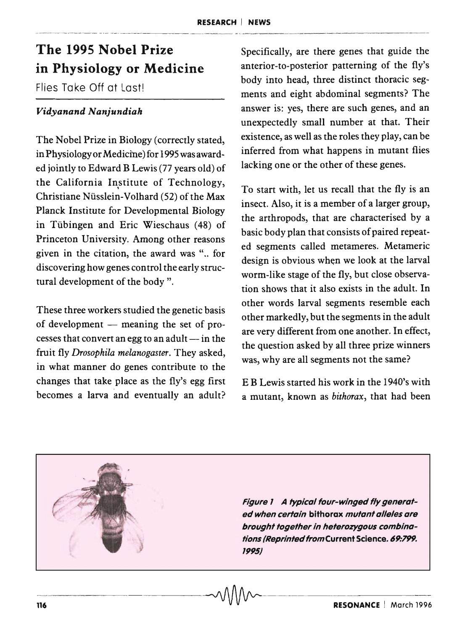## The 1995 Nobel Prize in Physiology or Medicine

Flies Take Off at Last!

## *Vidyanand Nanjundiah*

The Nobel Prize in Biology (correctly stated, in Physiology or Medicine) for 1995 was awarded jointly to Edward B Lewis (77 years old) of the California Institute of Technology, Christiane Nusslein-Volhard (52) of the Max Planck Institute for Developmental Biology in Tubingen and Eric Wieschaus (48) of Princeton University. Among other reasons given in the citation, the award was ".. for discovering how genes control the early structural development of the body".

These three workers studied the genetic basis of development  $-$  meaning the set of processes that convert an egg to an adult  $-$  in the fruit fly *Drosophila melanogaster.* They asked, in what manner do genes contribute to the changes that take place as the fly's egg first becomes a larva and eventually an adult?

Specifically, are there genes that guide the anterior-to-posterior patterning of the fly's body into head, three distinct thoracic segments and eight abdominal segments? The answer is: yes, there are such genes, and an unexpectedly small number at that. Their existence, as well as the roles they play, can be inferred from what happens in mutant flies lacking one or the other of these genes.

To start with, let us recall that the fly is an insect. Also, it is a member of a larger group, the arthropods, that are characterised by a basic body plan that consists of paired repeated segments called metameres. Metameric design is obvious when we look at the larval worm-like stage of the fly, but close observation shows that it also exists in the adult. In other words larval segments resemble each other markedly, but the segments in the adult are very different from one another. In effect, the question asked by all three prize winners was, why are all segments not the same?

E B Lewis started his work in the 1940's with a mutant, known as *bithorax,* that had been

Figure 1 A typical four-winged fly generated when certain bithorax mutant alleles are brought together in heterozygous combinations (Reprinted from Current Science. 69:799. 1995)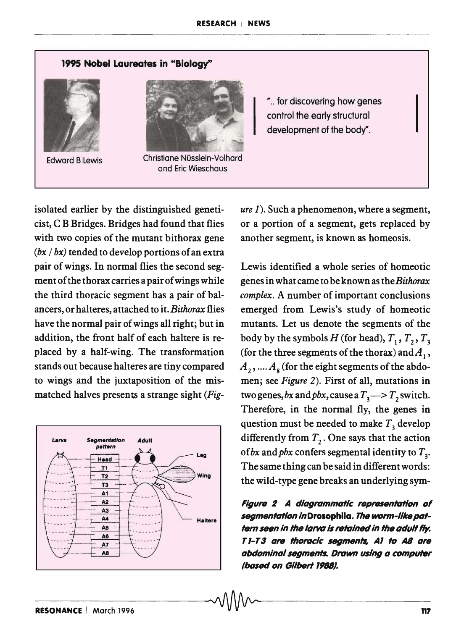



Edward B Lewis Christiane Nüsslein-Volhard and Eric Wieschaus

" .. for discovering how genes control the early structural development of the body".

isolated earlier by the distinguished geneticist, C B Bridges. Bridges had found that flies with two copies of the mutant bithorax gene *(bx* / *bx)* tended to develop portions of an extra pair of wings. In normal flies the second segment of the thorax carries a pair of wings while the third thoracic segment has a pair of balancers, or halteres, attached to it. *Bithorax* flies, have the normal pair of wings all right; but in addition, the front half of each haltere is replaced by a half-wing. The transformation stands out because halteres are tiny compared to wings and the juxtaposition of the mismatched halves presents a strange sight *(Fig-*



*ure* 1). Such a phenomenon, where a segment, or a portion of a segment, gets replaced by another segment, is known as homeosis.

Lewis identified a whole series of homeotic genes in what came to be known as the *Bithorax complex.* A number of important conclusions emerged from Lewis's study of homeotic mutants. Let us denote the segments of the body by the symbols  $H$  (for head),  $T_1, T_2, T_3$ (for the three segments of the thorax) and  $A_1$ ,  $A_2$ , ....  $A_8$  (for the eight segments of the abdomen; see *Figure* 2). First of all, mutations in two genes, bx and pbx, cause a  $T_3 \rightarrow T_2$  switch. Therefore, in the normal fly, the genes in question must be needed to make  $T<sub>3</sub>$  develop differently from  $T_2$ . One says that the action of *bx* and *pbx* confers segmental identity to  $T<sub>3</sub>$ . The same thing can be said in different words: the wild-type gene breaks an underlying sym-

Figure 2 A diagrammatic representation of segmentation inDrosophila. The worm-like patfern seen in the larva is retained in the adult fly. *T I-T* 3 are thoracic segments, *Al* to *AS* are abdominal segments. Drawn using a computer *(based on Gilbert 1988)*.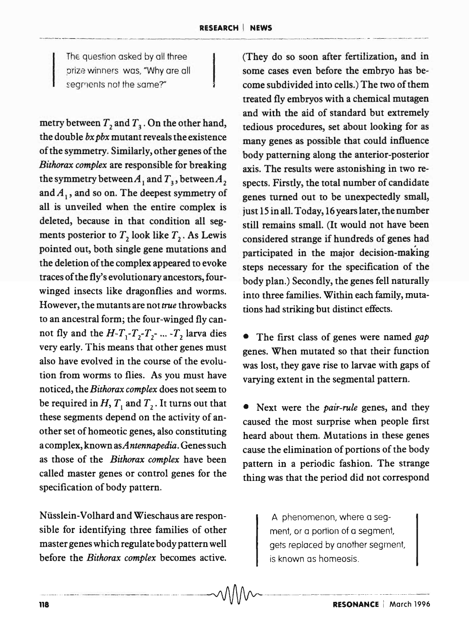The question asked by all three prize winners was, "Why are all segments not the same?"

metry between  $T_2$  and  $T_3$ . On the other hand, the double *bx pbx* mutant reveals the existence of the symmetry. Similarly, other genes of the *Bithorax complex* are responsible for breaking the symmetry between  $A_1$  and  $T_3$ , between  $A_2$ and  $A<sub>1</sub>$ , and so on. The deepest symmetry of all is unveiled when the entire complex is deleted, because in that condition all segments posterior to  $T_2$  look like  $T_2$ . As Lewis pointed out, both single gene mutations and the deletion of the complex appeared to evoke traces of the fly's evolutionary ancestors, fourwinged insects like dragonflies and worms. However, the mutants are not true throwbacks to an ancestral form; the four-winged fly cannot fly and the  $H - T_1 - T_2 - T_2 - ... - T_2$  larva dies very early. This means that other genes must also have evolved in the course of the evolution from worms to flies. As you must have noticed, the *Bithorax complex* does not seem to be required in H,  $T_1$  and  $T_2$ . It turns out that these segments depend on the activity of another set of homeotic genes, also constituting a complex, known *asAntennapedia.* Genes such as those of the *Bithorax complex* have been called master genes or control genes for the specification of body pattern.

Niisslein-Volhard and Wieschaus are responsible for identifying three families of other master genes which regulate body pattern well before the *Bithorax complex* becomes active. (They do so soon after fertilization, and in some cases even before the embryo has become subdivided into cells.) The two of them treated fly embryos with a chemical mutagen and with the aid of standard but extremely tedious procedures, set about looking for as many genes as possible that could influence body patterning along the anterior-posterior axis. The results were astonishing in two respects. Firstly, the total number of candidate genes turned out to be unexpectedly small, just 15 in all. Today, 16 years later, the number still remains small. (It would not have been considered strange if hundreds of genes had participated in the major decision-making steps necessary for the specification of the body plan.) Secondly, the genes fell naturally into three families. Within each family, mutations had striking but distinct effects.

• The first class of genes were named *gap*  genes. When mutated so that their function was lost, they gave rise to larvae with gaps of varying extent in the segmental pattern.

• Next were the *pair-rule* genes, and they caused the most surprise when people first heard about them. Mutations in these genes cause the elimination of portions of the body pattern in a periodic fashion. The strange thing was that the period did not correspond

> A phenomenon, where a segment, or a portion of a segment, gets replaced by another segment, is known as homeosis.